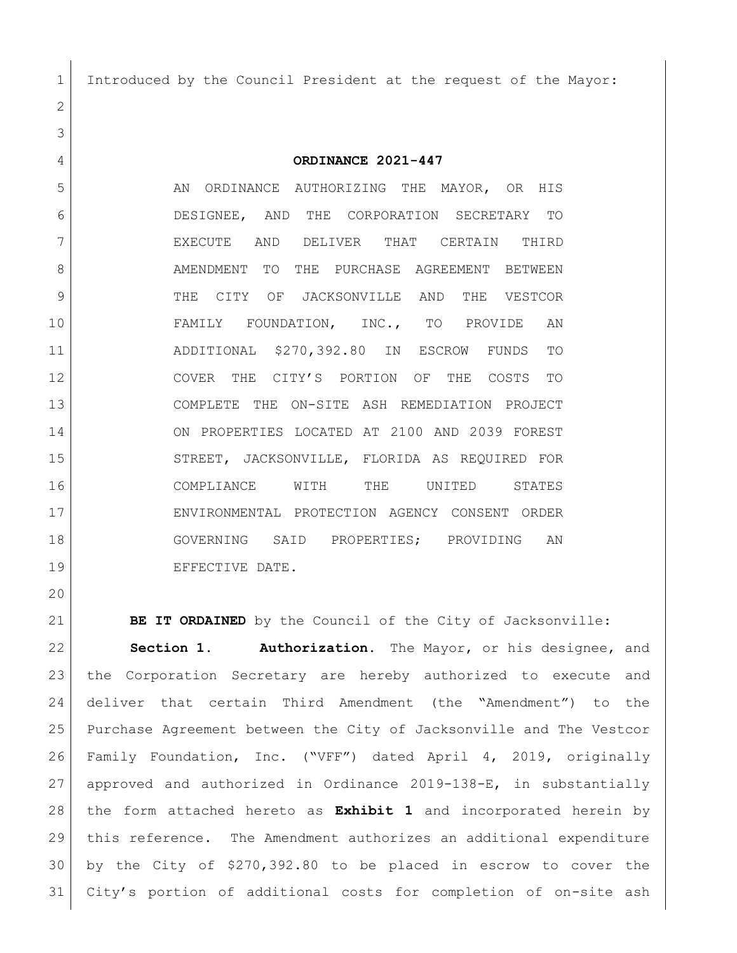Introduced by the Council President at the request of the Mayor:

**ORDINANCE 2021-447**

5 AN ORDINANCE AUTHORIZING THE MAYOR, OR HIS DESIGNEE, AND THE CORPORATION SECRETARY TO EXECUTE AND DELIVER THAT CERTAIN THIRD 8 AMENDMENT TO THE PURCHASE AGREEMENT BETWEEN THE CITY OF JACKSONVILLE AND THE VESTCOR FAMILY FOUNDATION, INC., TO PROVIDE AN ADDITIONAL \$270,392.80 IN ESCROW FUNDS TO COVER THE CITY'S PORTION OF THE COSTS TO COMPLETE THE ON-SITE ASH REMEDIATION PROJECT ON PROPERTIES LOCATED AT 2100 AND 2039 FOREST 15 STREET, JACKSONVILLE, FLORIDA AS REQUIRED FOR COMPLIANCE WITH THE UNITED STATES ENVIRONMENTAL PROTECTION AGENCY CONSENT ORDER GOVERNING SAID PROPERTIES; PROVIDING AN 19 | EFFECTIVE DATE.

**BE IT ORDAINED** by the Council of the City of Jacksonville:

 **Section 1. Authorization.** The Mayor, or his designee, and the Corporation Secretary are hereby authorized to execute and deliver that certain Third Amendment (the "Amendment") to the Purchase Agreement between the City of Jacksonville and The Vestcor Family Foundation, Inc. ("VFF") dated April 4, 2019, originally approved and authorized in Ordinance 2019-138-E, in substantially the form attached hereto as **Exhibit 1** and incorporated herein by this reference. The Amendment authorizes an additional expenditure by the City of \$270,392.80 to be placed in escrow to cover the City's portion of additional costs for completion of on-site ash